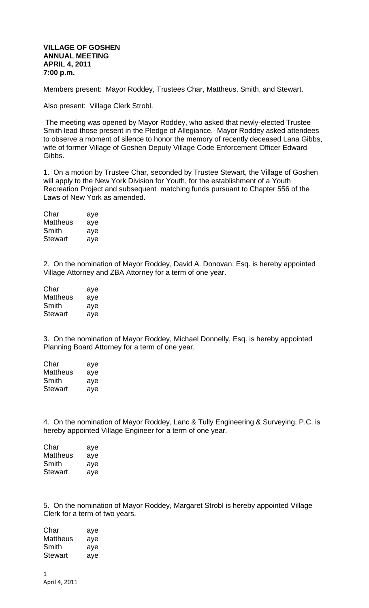## **VILLAGE OF GOSHEN ANNUAL MEETING APRIL 4, 2011 7:00 p.m.**

Members present: Mayor Roddey, Trustees Char, Mattheus, Smith, and Stewart.

Also present: Village Clerk Strobl.

The meeting was opened by Mayor Roddey, who asked that newly-elected Trustee Smith lead those present in the Pledge of Allegiance. Mayor Roddey asked attendees to observe a moment of silence to honor the memory of recently deceased Lana Gibbs, wife of former Village of Goshen Deputy Village Code Enforcement Officer Edward Gibbs.

1. On a motion by Trustee Char, seconded by Trustee Stewart, the Village of Goshen will apply to the New York Division for Youth, for the establishment of a Youth Recreation Project and subsequent matching funds pursuant to Chapter 556 of the Laws of New York as amended.

| Char           | aye |
|----------------|-----|
| Mattheus       | aye |
| Smith          | aye |
| <b>Stewart</b> | aye |

2. On the nomination of Mayor Roddey, David A. Donovan, Esq. is hereby appointed Village Attorney and ZBA Attorney for a term of one year.

| Char     | aye |
|----------|-----|
| Mattheus | aye |
| Smith    | aye |
| Stewart  | aye |

3. On the nomination of Mayor Roddey, Michael Donnelly, Esq. is hereby appointed Planning Board Attorney for a term of one year.

| Char     | aye |
|----------|-----|
| Mattheus | aye |
| Smith    | aye |
| Stewart  | aye |

4. On the nomination of Mayor Roddey, Lanc & Tully Engineering & Surveying, P.C. is hereby appointed Village Engineer for a term of one year.

| Char     | aye |
|----------|-----|
| Mattheus | aye |
| Smith    | aye |
| Stewart  | aye |

5. On the nomination of Mayor Roddey, Margaret Strobl is hereby appointed Village Clerk for a term of two years.

| aye |
|-----|
| aye |
| aye |
| aye |
|     |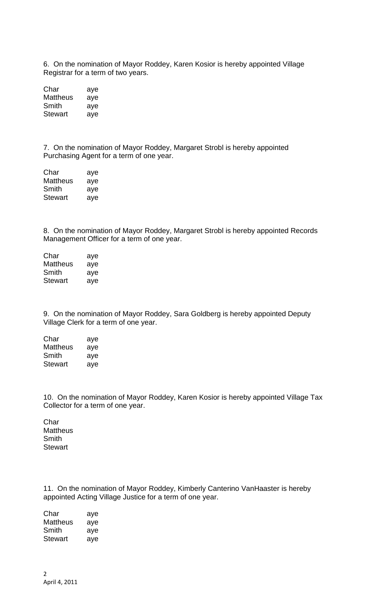6. On the nomination of Mayor Roddey, Karen Kosior is hereby appointed Village Registrar for a term of two years.

| Char     | aye |
|----------|-----|
| Mattheus | aye |
| Smith    | aye |
| Stewart  | aye |

7. On the nomination of Mayor Roddey, Margaret Strobl is hereby appointed Purchasing Agent for a term of one year.

| Char           | aye |
|----------------|-----|
| Mattheus       | aye |
| Smith          | aye |
| <b>Stewart</b> | aye |

8. On the nomination of Mayor Roddey, Margaret Strobl is hereby appointed Records Management Officer for a term of one year.

| Char     | aye |
|----------|-----|
| Mattheus | aye |
| Smith    | aye |
| Stewart  | aye |

9. On the nomination of Mayor Roddey, Sara Goldberg is hereby appointed Deputy Village Clerk for a term of one year.

Char aye Mattheus aye Smith aye Stewart aye

10. On the nomination of Mayor Roddey, Karen Kosior is hereby appointed Village Tax Collector for a term of one year.

Char **Mattheus** Smith **Stewart** 

11. On the nomination of Mayor Roddey, Kimberly Canterino VanHaaster is hereby appointed Acting Village Justice for a term of one year.

Char aye Mattheus aye<br>Smith aye Smith aye Stewart aye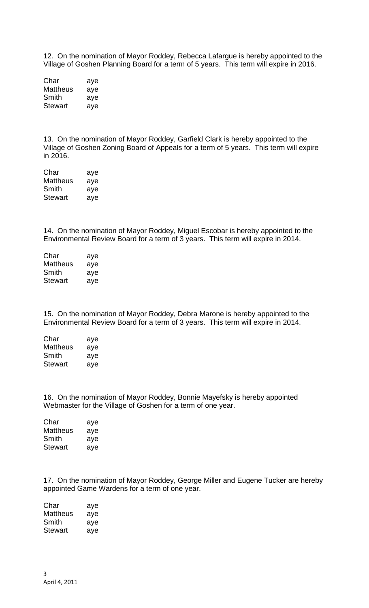12. On the nomination of Mayor Roddey, Rebecca Lafargue is hereby appointed to the Village of Goshen Planning Board for a term of 5 years. This term will expire in 2016.

| Char            | aye |
|-----------------|-----|
| <b>Mattheus</b> | aye |
| Smith           | aye |
| Stewart         | aye |

13. On the nomination of Mayor Roddey, Garfield Clark is hereby appointed to the Village of Goshen Zoning Board of Appeals for a term of 5 years. This term will expire in 2016.

| Char           | aye |
|----------------|-----|
| Mattheus       | aye |
| Smith          | aye |
| <b>Stewart</b> | aye |

14. On the nomination of Mayor Roddey, Miguel Escobar is hereby appointed to the Environmental Review Board for a term of 3 years. This term will expire in 2014.

| Char     | aye |
|----------|-----|
| Mattheus | aye |
| Smith    | aye |
| Stewart  | aye |

15. On the nomination of Mayor Roddey, Debra Marone is hereby appointed to the Environmental Review Board for a term of 3 years. This term will expire in 2014.

| Char     | aye |
|----------|-----|
| Mattheus | aye |
| Smith    | aye |
| Stewart  | aye |

16. On the nomination of Mayor Roddey, Bonnie Mayefsky is hereby appointed Webmaster for the Village of Goshen for a term of one year.

| Char     | aye |
|----------|-----|
| Mattheus | aye |
| Smith    | aye |
| Stewart  | ave |

17. On the nomination of Mayor Roddey, George Miller and Eugene Tucker are hereby appointed Game Wardens for a term of one year.

| Char     | aye |
|----------|-----|
| Mattheus | aye |
| Smith    | aye |
| Stewart  | aye |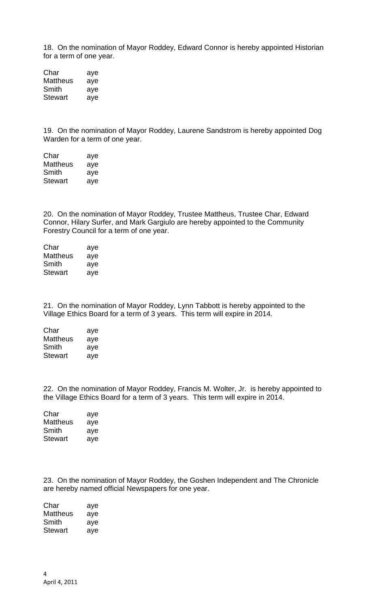18. On the nomination of Mayor Roddey, Edward Connor is hereby appointed Historian for a term of one year.

Char aye Mattheus aye Smith aye Stewart aye

19. On the nomination of Mayor Roddey, Laurene Sandstrom is hereby appointed Dog Warden for a term of one year.

| Char     | aye |
|----------|-----|
| Mattheus | aye |
| Smith    | aye |
| Stewart  | aye |

20. On the nomination of Mayor Roddey, Trustee Mattheus, Trustee Char, Edward Connor, Hilary Surfer, and Mark Gargiulo are hereby appointed to the Community Forestry Council for a term of one year.

| Char     | aye |
|----------|-----|
| Mattheus | aye |
| Smith    | aye |
| Stewart  | aye |

21. On the nomination of Mayor Roddey, Lynn Tabbott is hereby appointed to the Village Ethics Board for a term of 3 years. This term will expire in 2014.

| aye |
|-----|
| aye |
| aye |
| aye |
|     |

22. On the nomination of Mayor Roddey, Francis M. Wolter, Jr. is hereby appointed to the Village Ethics Board for a term of 3 years. This term will expire in 2014.

Char aye Mattheus aye Smith aye Stewart aye

23. On the nomination of Mayor Roddey, the Goshen Independent and The Chronicle are hereby named official Newspapers for one year.

Char aye Mattheus aye Smith aye Stewart aye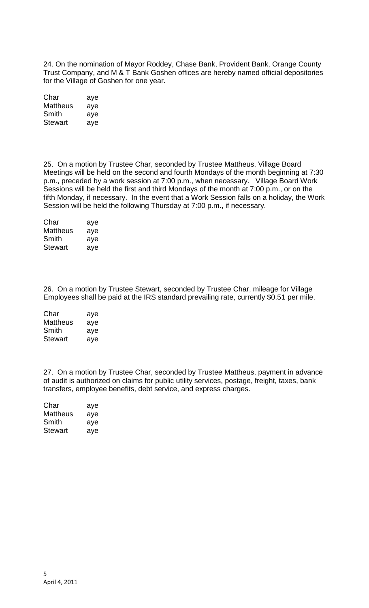24. On the nomination of Mayor Roddey, Chase Bank, Provident Bank, Orange County Trust Company, and M & T Bank Goshen offices are hereby named official depositories for the Village of Goshen for one year.

| Char     | aye |
|----------|-----|
| Mattheus | aye |
| Smith    | aye |
| Stewart  | aye |

25. On a motion by Trustee Char, seconded by Trustee Mattheus, Village Board Meetings will be held on the second and fourth Mondays of the month beginning at 7:30 p.m., preceded by a work session at 7:00 p.m., when necessary. Village Board Work Sessions will be held the first and third Mondays of the month at 7:00 p.m., or on the fifth Monday, if necessary. In the event that a Work Session falls on a holiday, the Work Session will be held the following Thursday at 7:00 p.m., if necessary.

| Char            | aye |
|-----------------|-----|
| <b>Mattheus</b> | aye |
| Smith           | aye |
| <b>Stewart</b>  | aye |

26. On a motion by Trustee Stewart, seconded by Trustee Char, mileage for Village Employees shall be paid at the IRS standard prevailing rate, currently \$0.51 per mile.

| Char            | aye |
|-----------------|-----|
| <b>Mattheus</b> | aye |
| Smith           | aye |
| Stewart         | aye |

27. On a motion by Trustee Char, seconded by Trustee Mattheus, payment in advance of audit is authorized on claims for public utility services, postage, freight, taxes, bank transfers, employee benefits, debt service, and express charges.

| aye |
|-----|
| aye |
| aye |
| aye |
|     |